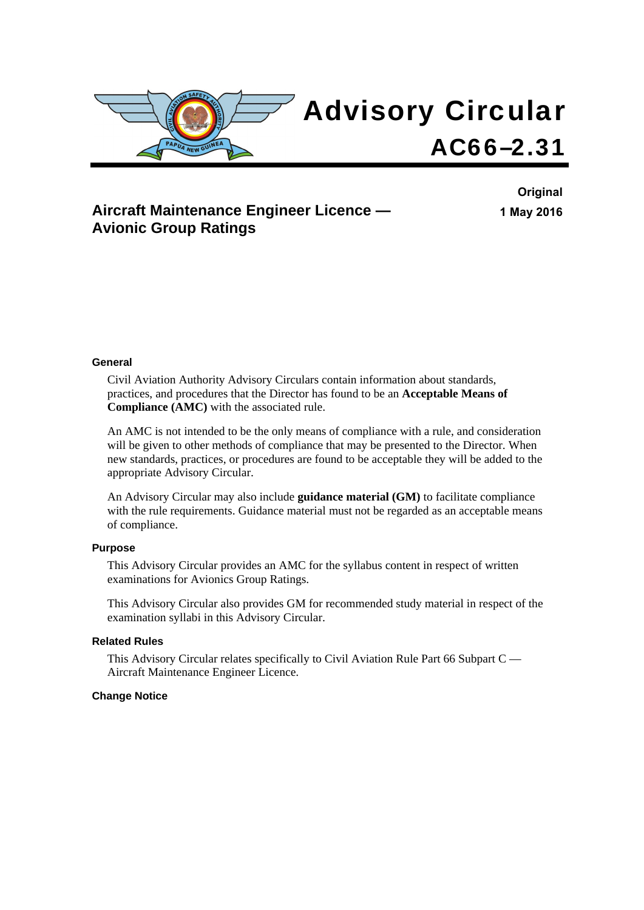

### **Aircraft Maintenance Engineer Licence — Avionic Group Ratings**

**Original 1 May 2016**

#### **General**

Civil Aviation Authority Advisory Circulars contain information about standards, practices, and procedures that the Director has found to be an **Acceptable Means of Compliance (AMC)** with the associated rule.

An AMC is not intended to be the only means of compliance with a rule, and consideration will be given to other methods of compliance that may be presented to the Director. When new standards, practices, or procedures are found to be acceptable they will be added to the appropriate Advisory Circular.

An Advisory Circular may also include **guidance material (GM)** to facilitate compliance with the rule requirements. Guidance material must not be regarded as an acceptable means of compliance.

#### **Purpose**

This Advisory Circular provides an AMC for the syllabus content in respect of written examinations for Avionics Group Ratings.

This Advisory Circular also provides GM for recommended study material in respect of the examination syllabi in this Advisory Circular.

#### **Related Rules**

This Advisory Circular relates specifically to Civil Aviation Rule Part 66 Subpart C — Aircraft Maintenance Engineer Licence.

#### **Change Notice**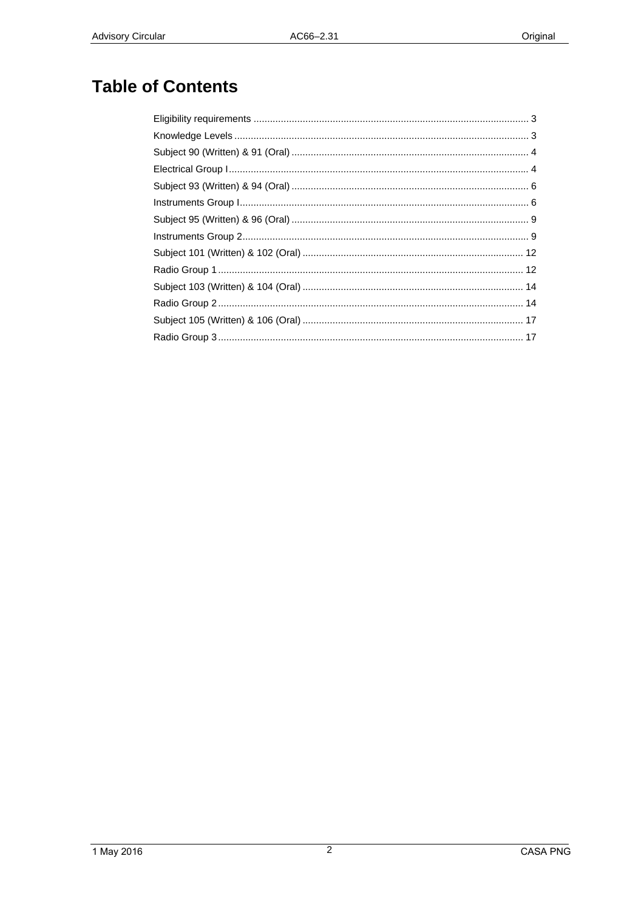# **Table of Contents**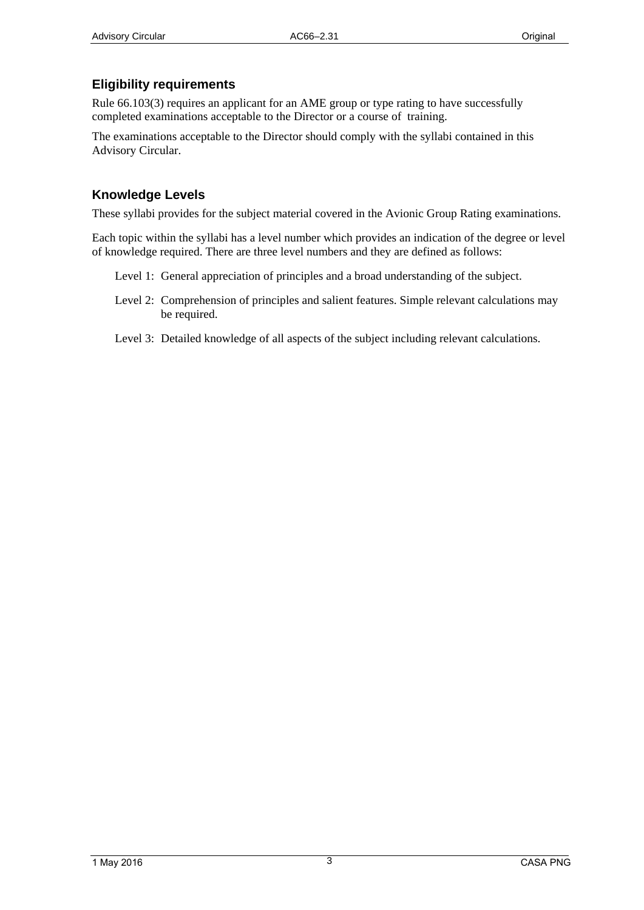### <span id="page-2-1"></span><span id="page-2-0"></span>**Eligibility requirements**

Rule 66.103(3) requires an applicant for an AME group or type rating to have successfully completed examinations acceptable to the Director or a course of training.

The examinations acceptable to the Director should comply with the syllabi contained in this Advisory Circular.

#### <span id="page-2-2"></span>**Knowledge Levels**

These syllabi provides for the subject material covered in the Avionic Group Rating examinations.

Each topic within the syllabi has a level number which provides an indication of the degree or level of knowledge required. There are three level numbers and they are defined as follows:

- Level 1: General appreciation of principles and a broad understanding of the subject.
- Level 2: Comprehension of principles and salient features. Simple relevant calculations may be required.
- Level 3: Detailed knowledge of all aspects of the subject including relevant calculations.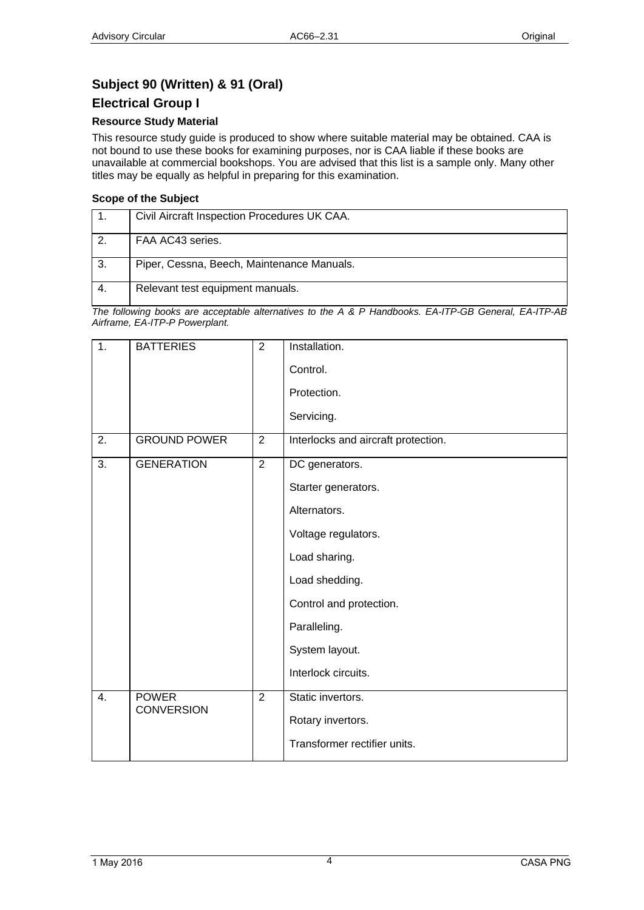# <span id="page-3-1"></span><span id="page-3-0"></span>**Subject 90 (Written) & 91 (Oral)**

#### <span id="page-3-2"></span>**Electrical Group I**

#### **Resource Study Material**

This resource study guide is produced to show where suitable material may be obtained. CAA is not bound to use these books for examining purposes, nor is CAA liable if these books are unavailable at commercial bookshops. You are advised that this list is a sample only. Many other titles may be equally as helpful in preparing for this examination.

#### **Scope of the Subject**

|               | Civil Aircraft Inspection Procedures UK CAA. |
|---------------|----------------------------------------------|
| $\mathcal{P}$ | FAA AC43 series.                             |
| -3.           | Piper, Cessna, Beech, Maintenance Manuals.   |
|               | Relevant test equipment manuals.             |

| $\overline{1}$ . | <b>BATTERIES</b>                  | $\overline{2}$ | Installation.                       |
|------------------|-----------------------------------|----------------|-------------------------------------|
|                  |                                   |                | Control.                            |
|                  |                                   |                | Protection.                         |
|                  |                                   |                | Servicing.                          |
| 2.               | <b>GROUND POWER</b>               | $\overline{2}$ | Interlocks and aircraft protection. |
| 3.               | <b>GENERATION</b>                 | $\overline{2}$ | DC generators.                      |
|                  |                                   |                | Starter generators.                 |
|                  |                                   |                | Alternators.                        |
|                  |                                   |                | Voltage regulators.                 |
|                  |                                   |                | Load sharing.                       |
|                  |                                   |                | Load shedding.                      |
|                  |                                   |                | Control and protection.             |
|                  |                                   |                | Paralleling.                        |
|                  |                                   |                | System layout.                      |
|                  |                                   |                | Interlock circuits.                 |
| 4.               | <b>POWER</b><br><b>CONVERSION</b> | $\overline{2}$ | Static invertors.                   |
|                  |                                   |                | Rotary invertors.                   |
|                  |                                   |                | Transformer rectifier units.        |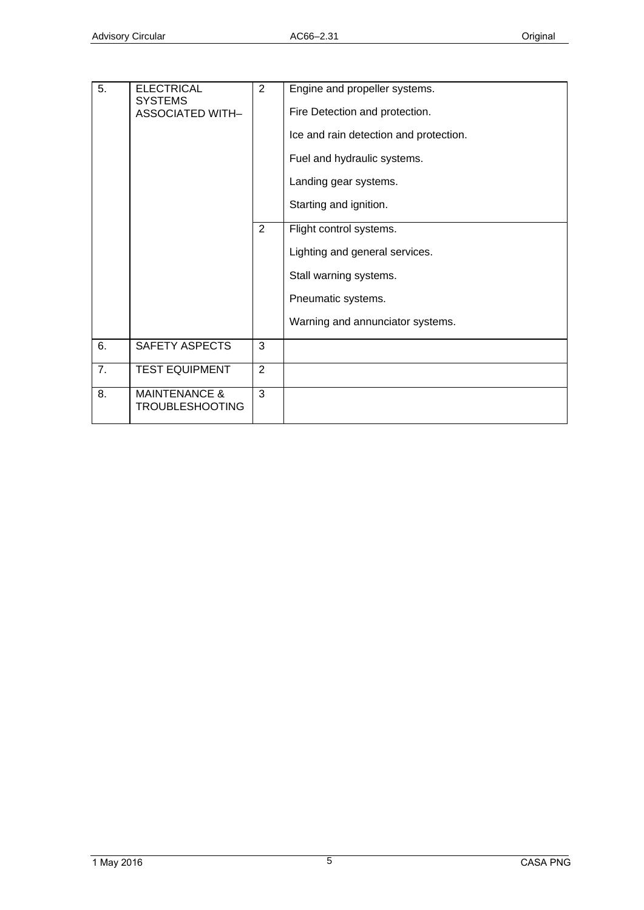| 5. | <b>ELECTRICAL</b><br><b>SYSTEMS</b>                | $\overline{2}$ | Engine and propeller systems.          |
|----|----------------------------------------------------|----------------|----------------------------------------|
|    | <b>ASSOCIATED WITH-</b>                            |                | Fire Detection and protection.         |
|    |                                                    |                | Ice and rain detection and protection. |
|    |                                                    |                | Fuel and hydraulic systems.            |
|    |                                                    |                | Landing gear systems.                  |
|    |                                                    |                | Starting and ignition.                 |
|    |                                                    | 2              | Flight control systems.                |
|    |                                                    |                | Lighting and general services.         |
|    |                                                    |                | Stall warning systems.                 |
|    |                                                    |                | Pneumatic systems.                     |
|    |                                                    |                | Warning and annunciator systems.       |
| 6. | SAFETY ASPECTS                                     | 3              |                                        |
| 7. | <b>TEST EQUIPMENT</b>                              | $\overline{2}$ |                                        |
| 8. | <b>MAINTENANCE &amp;</b><br><b>TROUBLESHOOTING</b> | 3              |                                        |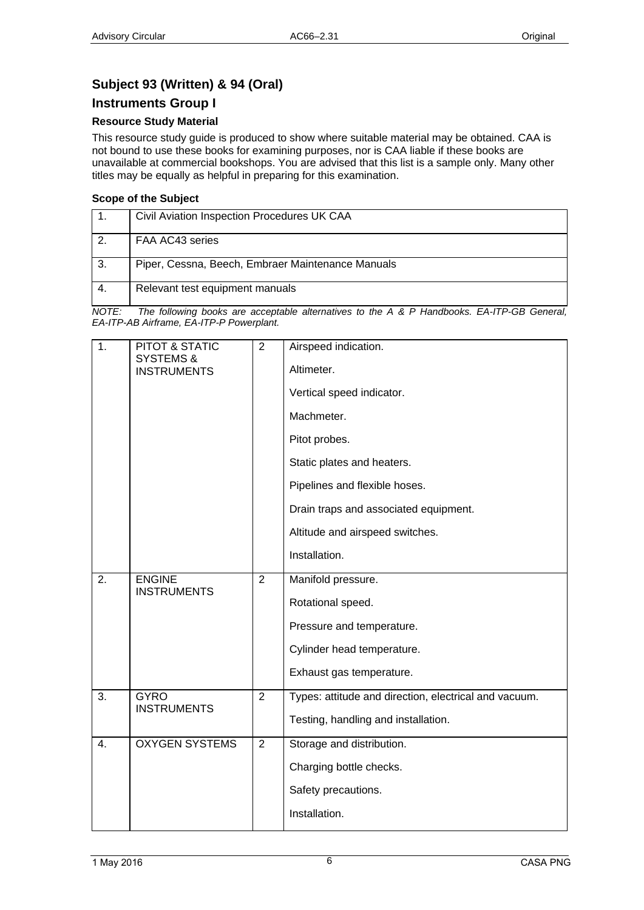### <span id="page-5-1"></span><span id="page-5-0"></span>**Subject 93 (Written) & 94 (Oral)**

#### <span id="page-5-2"></span>**Instruments Group I**

#### **Resource Study Material**

This resource study guide is produced to show where suitable material may be obtained. CAA is not bound to use these books for examining purposes, nor is CAA liable if these books are unavailable at commercial bookshops. You are advised that this list is a sample only. Many other titles may be equally as helpful in preparing for this examination.

#### **Scope of the Subject**

|     | Civil Aviation Inspection Procedures UK CAA       |
|-----|---------------------------------------------------|
| 2.  | FAA AC43 series                                   |
| -3. | Piper, Cessna, Beech, Embraer Maintenance Manuals |
| -4. | Relevant test equipment manuals                   |

| 1.               | PITOT & STATIC                             | 2              | Airspeed indication.                                  |
|------------------|--------------------------------------------|----------------|-------------------------------------------------------|
|                  | <b>SYSTEMS &amp;</b><br><b>INSTRUMENTS</b> |                | Altimeter.                                            |
|                  |                                            |                | Vertical speed indicator.                             |
|                  |                                            |                | Machmeter.                                            |
|                  |                                            |                | Pitot probes.                                         |
|                  |                                            |                | Static plates and heaters.                            |
|                  |                                            |                | Pipelines and flexible hoses.                         |
|                  |                                            |                | Drain traps and associated equipment.                 |
|                  |                                            |                | Altitude and airspeed switches.                       |
|                  |                                            |                | Installation.                                         |
| $\overline{2}$ . | <b>ENGINE</b><br><b>INSTRUMENTS</b>        | $\overline{2}$ | Manifold pressure.                                    |
|                  |                                            |                | Rotational speed.                                     |
|                  |                                            |                | Pressure and temperature.                             |
|                  |                                            |                | Cylinder head temperature.                            |
|                  |                                            |                | Exhaust gas temperature.                              |
| 3.               | <b>GYRO</b><br><b>INSTRUMENTS</b>          | $\overline{2}$ | Types: attitude and direction, electrical and vacuum. |
|                  |                                            |                | Testing, handling and installation.                   |
| 4.               | <b>OXYGEN SYSTEMS</b>                      | $\overline{2}$ | Storage and distribution.                             |
|                  |                                            |                | Charging bottle checks.                               |
|                  |                                            |                | Safety precautions.                                   |
|                  |                                            |                | Installation.                                         |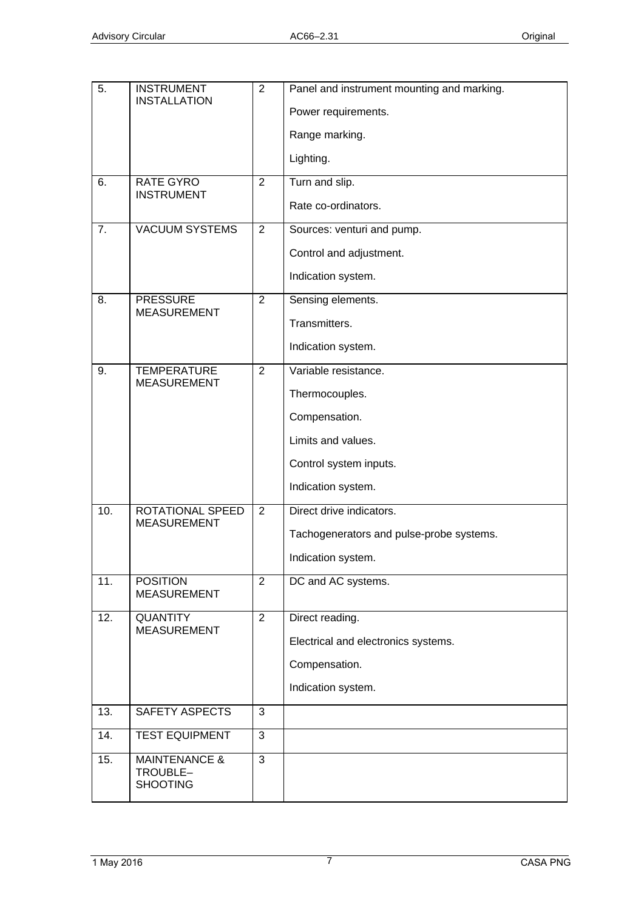| 5.  | <b>INSTRUMENT</b><br><b>INSTALLATION</b>                | $\overline{2}$ | Panel and instrument mounting and marking. |
|-----|---------------------------------------------------------|----------------|--------------------------------------------|
|     |                                                         |                | Power requirements.                        |
|     |                                                         |                | Range marking.                             |
|     |                                                         |                | Lighting.                                  |
| 6.  | RATE GYRO<br><b>INSTRUMENT</b>                          | $\overline{2}$ | Turn and slip.                             |
|     |                                                         |                | Rate co-ordinators.                        |
| 7.  | <b>VACUUM SYSTEMS</b>                                   | 2              | Sources: venturi and pump.                 |
|     |                                                         |                | Control and adjustment.                    |
|     |                                                         |                | Indication system.                         |
| 8.  | <b>PRESSURE</b>                                         | $\overline{2}$ | Sensing elements.                          |
|     | <b>MEASUREMENT</b>                                      |                | Transmitters.                              |
|     |                                                         |                | Indication system.                         |
| 9.  | <b>TEMPERATURE</b><br><b>MEASUREMENT</b>                | $\overline{2}$ | Variable resistance.                       |
|     |                                                         |                | Thermocouples.                             |
|     |                                                         |                | Compensation.                              |
|     |                                                         |                | Limits and values.                         |
|     |                                                         |                | Control system inputs.                     |
|     |                                                         |                | Indication system.                         |
| 10. | ROTATIONAL SPEED                                        | 2              | Direct drive indicators.                   |
|     | <b>MEASUREMENT</b>                                      |                | Tachogenerators and pulse-probe systems.   |
|     |                                                         |                | Indication system.                         |
| 11. | <b>POSITION</b>                                         | $\overline{2}$ | DC and AC systems.                         |
|     | <b>MEASUREMENT</b>                                      |                |                                            |
| 12. | <b>QUANTITY</b><br><b>MEASUREMENT</b>                   | $\overline{2}$ | Direct reading.                            |
|     |                                                         |                | Electrical and electronics systems.        |
|     |                                                         |                | Compensation.                              |
|     |                                                         |                | Indication system.                         |
| 13. | SAFETY ASPECTS                                          | 3              |                                            |
| 14. | <b>TEST EQUIPMENT</b>                                   | 3              |                                            |
| 15. | <b>MAINTENANCE &amp;</b><br>TROUBLE-<br><b>SHOOTING</b> | $\overline{3}$ |                                            |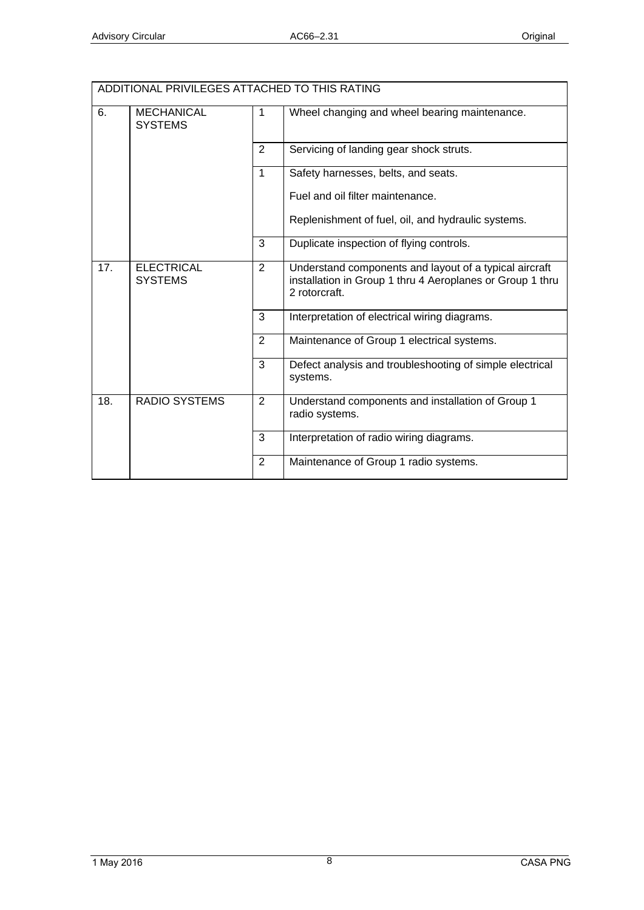| ADDITIONAL PRIVILEGES ATTACHED TO THIS RATING |                                     |                |                                                                                                                                      |
|-----------------------------------------------|-------------------------------------|----------------|--------------------------------------------------------------------------------------------------------------------------------------|
| 6.                                            | <b>MECHANICAL</b><br><b>SYSTEMS</b> | 1              | Wheel changing and wheel bearing maintenance.                                                                                        |
|                                               |                                     | 2              | Servicing of landing gear shock struts.                                                                                              |
|                                               |                                     | 1              | Safety harnesses, belts, and seats.                                                                                                  |
|                                               |                                     |                | Fuel and oil filter maintenance.                                                                                                     |
|                                               |                                     |                | Replenishment of fuel, oil, and hydraulic systems.                                                                                   |
|                                               |                                     | 3              | Duplicate inspection of flying controls.                                                                                             |
| 17.                                           | <b>ELECTRICAL</b><br><b>SYSTEMS</b> | $\overline{2}$ | Understand components and layout of a typical aircraft<br>installation in Group 1 thru 4 Aeroplanes or Group 1 thru<br>2 rotorcraft. |
|                                               |                                     | 3              | Interpretation of electrical wiring diagrams.                                                                                        |
|                                               |                                     | $\overline{2}$ | Maintenance of Group 1 electrical systems.                                                                                           |
|                                               |                                     | 3              | Defect analysis and troubleshooting of simple electrical<br>systems.                                                                 |
| 18.                                           | <b>RADIO SYSTEMS</b>                | 2              | Understand components and installation of Group 1<br>radio systems.                                                                  |
|                                               |                                     | 3              | Interpretation of radio wiring diagrams.                                                                                             |
|                                               |                                     | 2              | Maintenance of Group 1 radio systems.                                                                                                |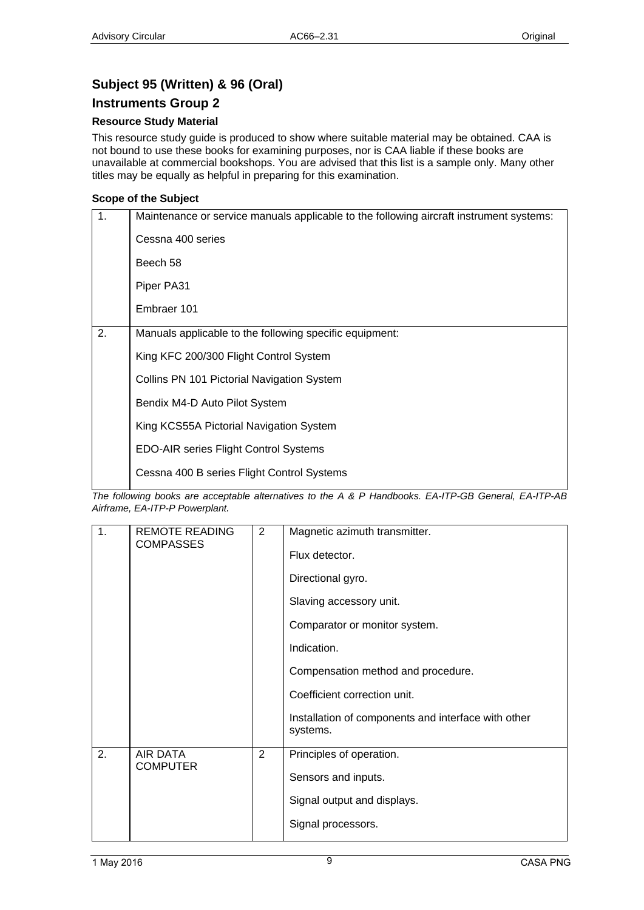### <span id="page-8-1"></span><span id="page-8-0"></span>**Subject 95 (Written) & 96 (Oral)**

#### <span id="page-8-2"></span>**Instruments Group 2**

#### **Resource Study Material**

This resource study guide is produced to show where suitable material may be obtained. CAA is not bound to use these books for examining purposes, nor is CAA liable if these books are unavailable at commercial bookshops. You are advised that this list is a sample only. Many other titles may be equally as helpful in preparing for this examination.

#### **Scope of the Subject**

| $\mathbf 1$ . | Maintenance or service manuals applicable to the following aircraft instrument systems: |
|---------------|-----------------------------------------------------------------------------------------|
|               | Cessna 400 series                                                                       |
|               | Beech 58                                                                                |
|               | Piper PA31                                                                              |
|               | Embraer 101                                                                             |
| 2.            | Manuals applicable to the following specific equipment:                                 |
|               | King KFC 200/300 Flight Control System                                                  |
|               | Collins PN 101 Pictorial Navigation System                                              |
|               | Bendix M4-D Auto Pilot System                                                           |
|               | King KCS55A Pictorial Navigation System                                                 |
|               | <b>EDO-AIR series Flight Control Systems</b>                                            |
|               | Cessna 400 B series Flight Control Systems                                              |

| 1. | <b>REMOTE READING</b><br><b>COMPASSES</b> | 2 | Magnetic azimuth transmitter.<br>Flux detector.<br>Directional gyro.<br>Slaving accessory unit.<br>Comparator or monitor system.<br>Indication.<br>Compensation method and procedure.<br>Coefficient correction unit.<br>Installation of components and interface with other<br>systems. |
|----|-------------------------------------------|---|------------------------------------------------------------------------------------------------------------------------------------------------------------------------------------------------------------------------------------------------------------------------------------------|
| 2. | <b>AIR DATA</b><br><b>COMPUTER</b>        | 2 | Principles of operation.<br>Sensors and inputs.<br>Signal output and displays.<br>Signal processors.                                                                                                                                                                                     |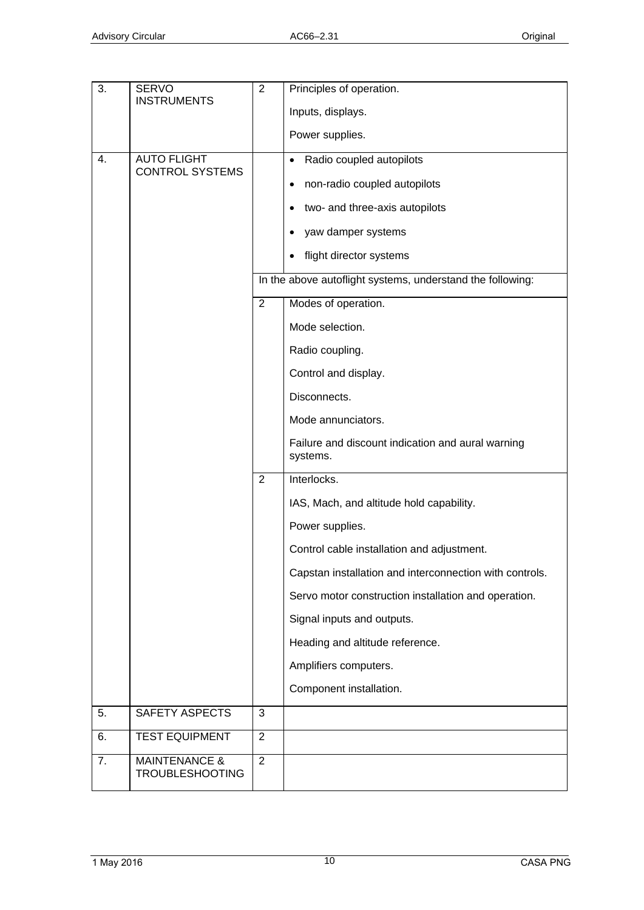| 3. | <b>SERVO</b><br><b>INSTRUMENTS</b>                 | $\overline{2}$ | Principles of operation.                                      |
|----|----------------------------------------------------|----------------|---------------------------------------------------------------|
|    |                                                    |                | Inputs, displays.                                             |
|    |                                                    |                | Power supplies.                                               |
| 4. | <b>AUTO FLIGHT</b>                                 |                | Radio coupled autopilots<br>$\bullet$                         |
|    | <b>CONTROL SYSTEMS</b>                             |                | non-radio coupled autopilots<br>$\bullet$                     |
|    |                                                    |                | two- and three-axis autopilots<br>$\bullet$                   |
|    |                                                    |                | yaw damper systems<br>$\bullet$                               |
|    |                                                    |                | flight director systems                                       |
|    |                                                    |                | In the above autoflight systems, understand the following:    |
|    |                                                    | $\overline{2}$ | Modes of operation.                                           |
|    |                                                    |                | Mode selection.                                               |
|    |                                                    |                | Radio coupling.                                               |
|    |                                                    |                | Control and display.                                          |
|    |                                                    |                | Disconnects.                                                  |
|    |                                                    |                | Mode annunciators.                                            |
|    |                                                    |                | Failure and discount indication and aural warning<br>systems. |
|    |                                                    | $\overline{2}$ | Interlocks.                                                   |
|    |                                                    |                | IAS, Mach, and altitude hold capability.                      |
|    |                                                    |                | Power supplies.                                               |
|    |                                                    |                | Control cable installation and adjustment.                    |
|    |                                                    |                | Capstan installation and interconnection with controls.       |
|    |                                                    |                | Servo motor construction installation and operation.          |
|    |                                                    |                | Signal inputs and outputs.                                    |
|    |                                                    |                | Heading and altitude reference.                               |
|    |                                                    |                | Amplifiers computers.                                         |
|    |                                                    |                | Component installation.                                       |
| 5. | SAFETY ASPECTS                                     | 3              |                                                               |
| 6. | <b>TEST EQUIPMENT</b>                              | $\overline{2}$ |                                                               |
| 7. | <b>MAINTENANCE &amp;</b><br><b>TROUBLESHOOTING</b> | $\overline{2}$ |                                                               |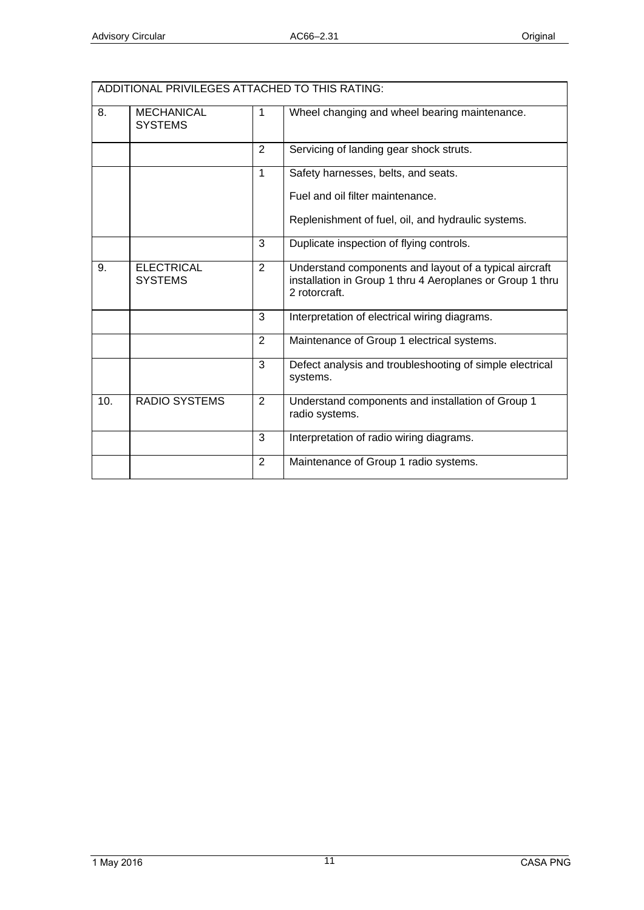|     | ADDITIONAL PRIVILEGES ATTACHED TO THIS RATING: |              |                                                                                                                                      |  |  |
|-----|------------------------------------------------|--------------|--------------------------------------------------------------------------------------------------------------------------------------|--|--|
| 8.  | <b>MECHANICAL</b><br><b>SYSTEMS</b>            | 1            | Wheel changing and wheel bearing maintenance.                                                                                        |  |  |
|     |                                                | 2            | Servicing of landing gear shock struts.                                                                                              |  |  |
|     |                                                | $\mathbf{1}$ | Safety harnesses, belts, and seats.                                                                                                  |  |  |
|     |                                                |              | Fuel and oil filter maintenance.                                                                                                     |  |  |
|     |                                                |              | Replenishment of fuel, oil, and hydraulic systems.                                                                                   |  |  |
|     |                                                | 3            | Duplicate inspection of flying controls.                                                                                             |  |  |
| 9.  | <b>ELECTRICAL</b><br><b>SYSTEMS</b>            | 2            | Understand components and layout of a typical aircraft<br>installation in Group 1 thru 4 Aeroplanes or Group 1 thru<br>2 rotorcraft. |  |  |
|     |                                                | 3            | Interpretation of electrical wiring diagrams.                                                                                        |  |  |
|     |                                                | 2            | Maintenance of Group 1 electrical systems.                                                                                           |  |  |
|     |                                                | 3            | Defect analysis and troubleshooting of simple electrical<br>systems.                                                                 |  |  |
| 10. | <b>RADIO SYSTEMS</b>                           | 2            | Understand components and installation of Group 1<br>radio systems.                                                                  |  |  |
|     |                                                | 3            | Interpretation of radio wiring diagrams.                                                                                             |  |  |
|     |                                                | 2            | Maintenance of Group 1 radio systems.                                                                                                |  |  |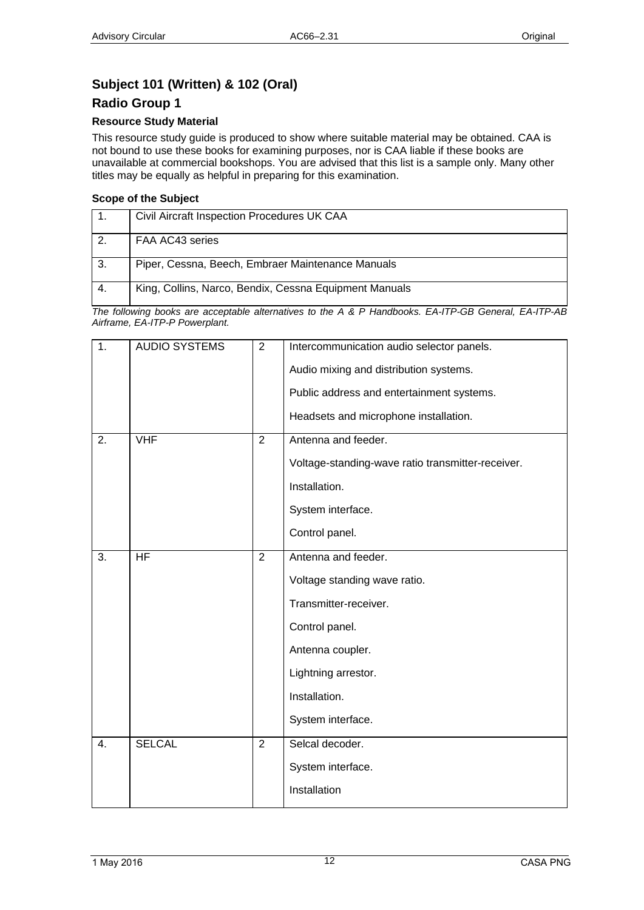# <span id="page-11-1"></span><span id="page-11-0"></span>**Subject 101 (Written) & 102 (Oral)**

### <span id="page-11-2"></span>**Radio Group 1**

#### **Resource Study Material**

This resource study guide is produced to show where suitable material may be obtained. CAA is not bound to use these books for examining purposes, nor is CAA liable if these books are unavailable at commercial bookshops. You are advised that this list is a sample only. Many other titles may be equally as helpful in preparing for this examination.

#### **Scope of the Subject**

|     | Civil Aircraft Inspection Procedures UK CAA            |
|-----|--------------------------------------------------------|
| 2   | FAA AC43 series                                        |
| -3. | Piper, Cessna, Beech, Embraer Maintenance Manuals      |
|     | King, Collins, Narco, Bendix, Cessna Equipment Manuals |

| 1. | <b>AUDIO SYSTEMS</b> | $\overline{2}$ | Intercommunication audio selector panels.<br>Audio mixing and distribution systems.<br>Public address and entertainment systems.<br>Headsets and microphone installation.       |
|----|----------------------|----------------|---------------------------------------------------------------------------------------------------------------------------------------------------------------------------------|
| 2. | <b>VHF</b>           | $\overline{2}$ | Antenna and feeder.<br>Voltage-standing-wave ratio transmitter-receiver.<br>Installation.<br>System interface.<br>Control panel.                                                |
| 3. | $\overline{HF}$      | $\overline{2}$ | Antenna and feeder.<br>Voltage standing wave ratio.<br>Transmitter-receiver.<br>Control panel.<br>Antenna coupler.<br>Lightning arrestor.<br>Installation.<br>System interface. |
| 4. | <b>SELCAL</b>        | 2              | Selcal decoder.<br>System interface.<br>Installation                                                                                                                            |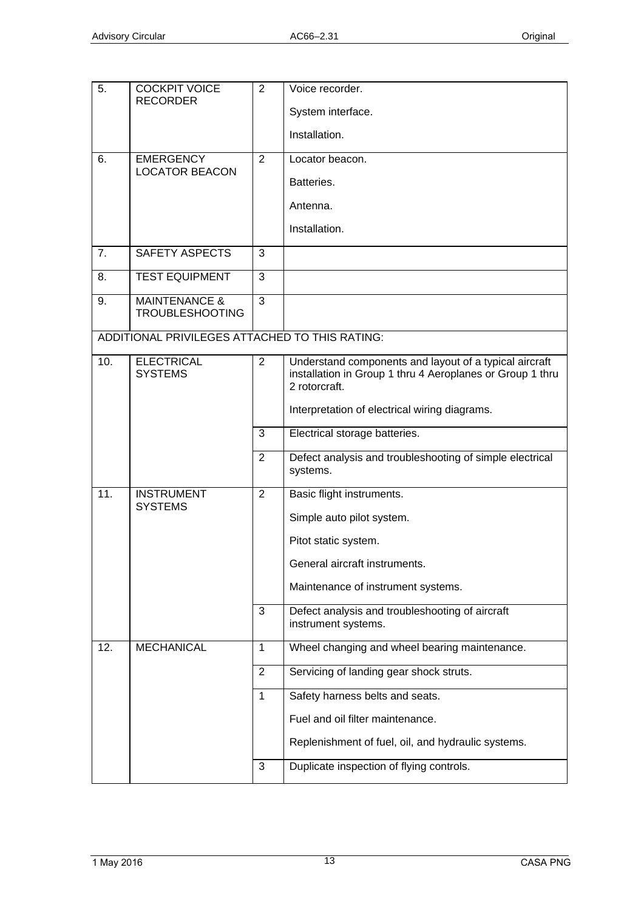| 5.  | <b>COCKPIT VOICE</b><br><b>RECORDER</b>            | 2              | Voice recorder.                                                                                                                      |
|-----|----------------------------------------------------|----------------|--------------------------------------------------------------------------------------------------------------------------------------|
|     |                                                    |                | System interface.                                                                                                                    |
|     |                                                    |                | Installation.                                                                                                                        |
| 6.  | <b>EMERGENCY</b><br><b>LOCATOR BEACON</b>          | $\overline{2}$ | Locator beacon.                                                                                                                      |
|     |                                                    |                | Batteries.                                                                                                                           |
|     |                                                    |                | Antenna.                                                                                                                             |
|     |                                                    |                | Installation.                                                                                                                        |
| 7.  | <b>SAFETY ASPECTS</b>                              | 3              |                                                                                                                                      |
| 8.  | <b>TEST EQUIPMENT</b>                              | 3              |                                                                                                                                      |
| 9.  | <b>MAINTENANCE &amp;</b><br><b>TROUBLESHOOTING</b> | 3              |                                                                                                                                      |
|     | ADDITIONAL PRIVILEGES ATTACHED TO THIS RATING:     |                |                                                                                                                                      |
| 10. | <b>ELECTRICAL</b><br><b>SYSTEMS</b>                | $\overline{2}$ | Understand components and layout of a typical aircraft<br>installation in Group 1 thru 4 Aeroplanes or Group 1 thru<br>2 rotorcraft. |
|     |                                                    |                | Interpretation of electrical wiring diagrams.                                                                                        |
|     |                                                    | 3              | Electrical storage batteries.                                                                                                        |
|     |                                                    | $\overline{2}$ | Defect analysis and troubleshooting of simple electrical<br>systems.                                                                 |
| 11. | <b>INSTRUMENT</b><br><b>SYSTEMS</b>                | $\overline{2}$ | Basic flight instruments.                                                                                                            |
|     |                                                    |                | Simple auto pilot system.                                                                                                            |
|     |                                                    |                | Pitot static system.                                                                                                                 |
|     |                                                    |                | General aircraft instruments.                                                                                                        |
|     |                                                    |                | Maintenance of instrument systems.                                                                                                   |
|     |                                                    | 3              | Defect analysis and troubleshooting of aircraft<br>instrument systems.                                                               |
| 12. | <b>MECHANICAL</b>                                  | $\mathbf{1}$   | Wheel changing and wheel bearing maintenance.                                                                                        |
|     |                                                    | 2              | Servicing of landing gear shock struts.                                                                                              |
|     |                                                    | 1              | Safety harness belts and seats.                                                                                                      |
|     |                                                    |                | Fuel and oil filter maintenance.                                                                                                     |
|     |                                                    |                | Replenishment of fuel, oil, and hydraulic systems.                                                                                   |
|     |                                                    | 3              | Duplicate inspection of flying controls.                                                                                             |
|     |                                                    |                |                                                                                                                                      |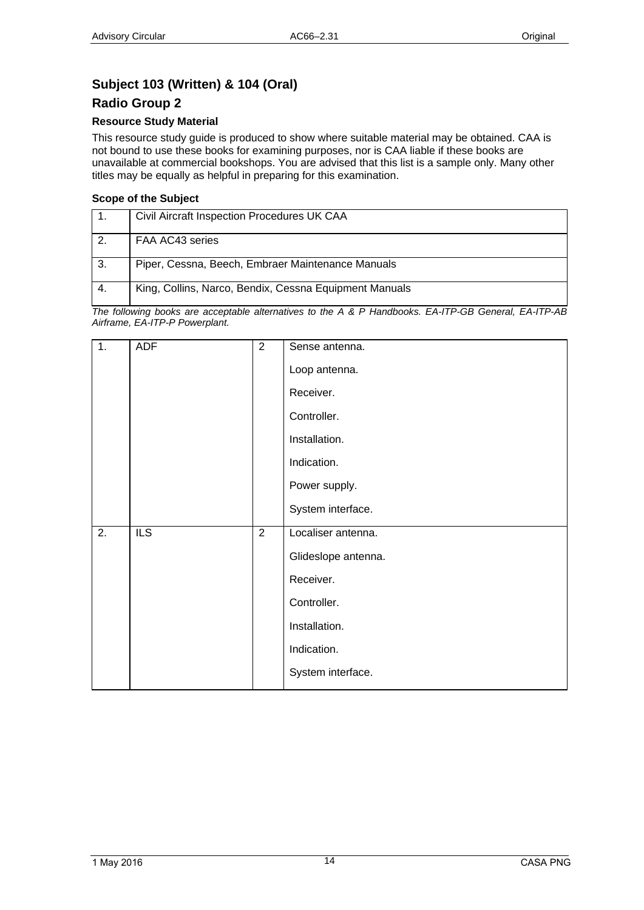# <span id="page-13-1"></span><span id="page-13-0"></span>**Subject 103 (Written) & 104 (Oral)**

### <span id="page-13-2"></span>**Radio Group 2**

#### **Resource Study Material**

This resource study guide is produced to show where suitable material may be obtained. CAA is not bound to use these books for examining purposes, nor is CAA liable if these books are unavailable at commercial bookshops. You are advised that this list is a sample only. Many other titles may be equally as helpful in preparing for this examination.

#### **Scope of the Subject**

|     | Civil Aircraft Inspection Procedures UK CAA            |
|-----|--------------------------------------------------------|
|     | FAA AC43 series                                        |
| -3. | Piper, Cessna, Beech, Embraer Maintenance Manuals      |
|     | King, Collins, Narco, Bendix, Cessna Equipment Manuals |

| 1.               | <b>ADF</b>       | $\overline{2}$ | Sense antenna.      |
|------------------|------------------|----------------|---------------------|
|                  |                  |                | Loop antenna.       |
|                  |                  |                | Receiver.           |
|                  |                  |                | Controller.         |
|                  |                  |                | Installation.       |
|                  |                  |                | Indication.         |
|                  |                  |                | Power supply.       |
|                  |                  |                | System interface.   |
| $\overline{2}$ . | $\overline{ILS}$ | $\overline{2}$ | Localiser antenna.  |
|                  |                  |                | Glideslope antenna. |
|                  |                  |                | Receiver.           |
|                  |                  |                | Controller.         |
|                  |                  |                | Installation.       |
|                  |                  |                | Indication.         |
|                  |                  |                | System interface.   |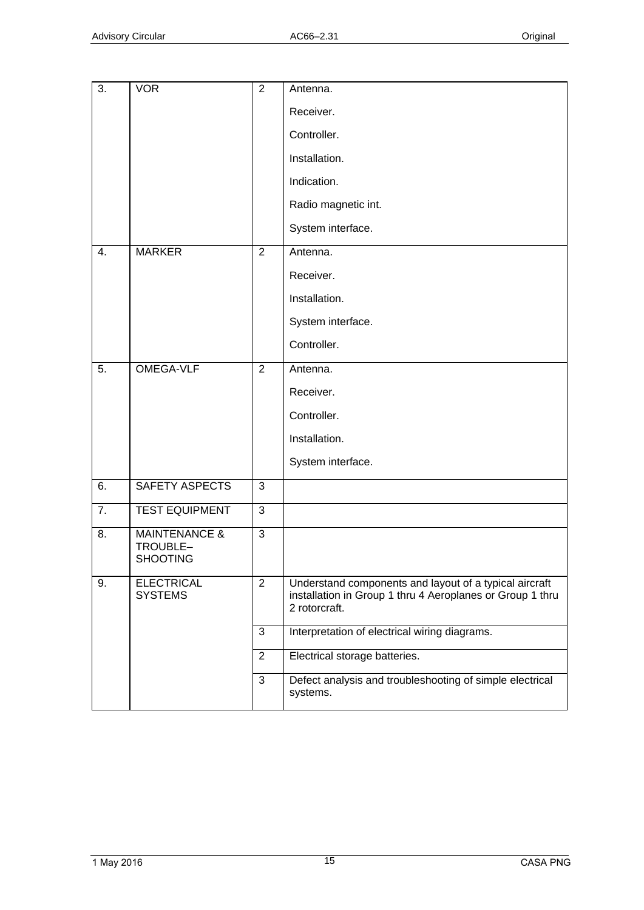| 3. | <b>VOR</b>                                              | $\overline{2}$ | Antenna.                                                                                                                             |
|----|---------------------------------------------------------|----------------|--------------------------------------------------------------------------------------------------------------------------------------|
|    |                                                         |                | Receiver.                                                                                                                            |
|    |                                                         |                | Controller.                                                                                                                          |
|    |                                                         |                | Installation.                                                                                                                        |
|    |                                                         |                | Indication.                                                                                                                          |
|    |                                                         |                | Radio magnetic int.                                                                                                                  |
|    |                                                         |                | System interface.                                                                                                                    |
| 4. | <b>MARKER</b>                                           | 2              | Antenna.                                                                                                                             |
|    |                                                         |                | Receiver.                                                                                                                            |
|    |                                                         |                | Installation.                                                                                                                        |
|    |                                                         |                | System interface.                                                                                                                    |
|    |                                                         |                | Controller.                                                                                                                          |
| 5. | <b>OMEGA-VLF</b>                                        | $\overline{2}$ | Antenna.                                                                                                                             |
|    |                                                         |                | Receiver.                                                                                                                            |
|    |                                                         |                | Controller.                                                                                                                          |
|    |                                                         |                | Installation.                                                                                                                        |
|    |                                                         |                | System interface.                                                                                                                    |
| 6. | SAFETY ASPECTS                                          | 3              |                                                                                                                                      |
| 7. | <b>TEST EQUIPMENT</b>                                   | 3              |                                                                                                                                      |
| 8. | <b>MAINTENANCE &amp;</b><br>TROUBLE-<br><b>SHOOTING</b> | 3              |                                                                                                                                      |
| 9. | <b>ELECTRICAL</b><br><b>SYSTEMS</b>                     | $\overline{2}$ | Understand components and layout of a typical aircraft<br>installation in Group 1 thru 4 Aeroplanes or Group 1 thru<br>2 rotorcraft. |
|    |                                                         | 3              | Interpretation of electrical wiring diagrams.                                                                                        |
|    |                                                         | $\overline{2}$ | Electrical storage batteries.                                                                                                        |
|    |                                                         | 3              | Defect analysis and troubleshooting of simple electrical<br>systems.                                                                 |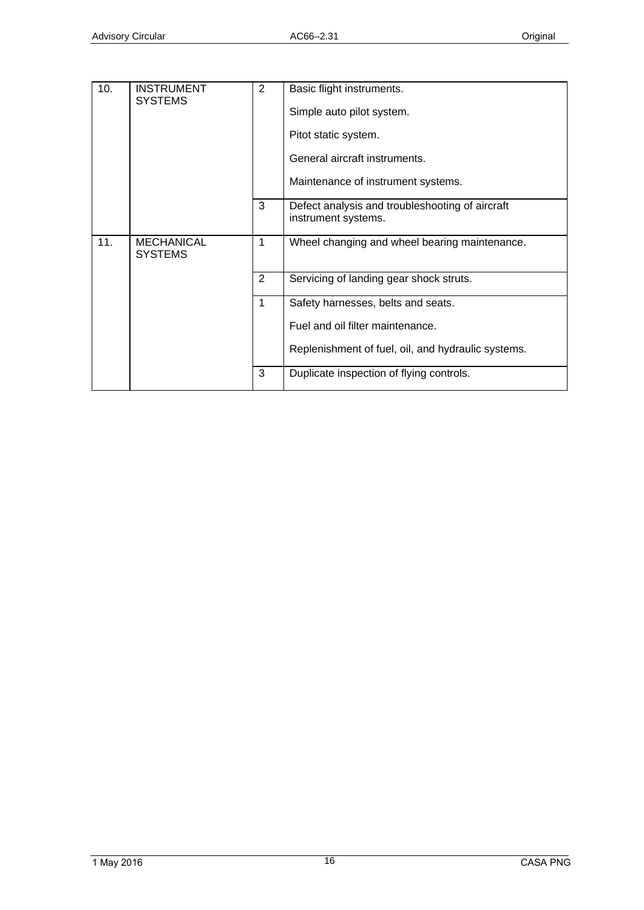| 10. | <b>INSTRUMENT</b><br><b>SYSTEMS</b> | $\overline{2}$ | Basic flight instruments.                                              |
|-----|-------------------------------------|----------------|------------------------------------------------------------------------|
|     |                                     |                | Simple auto pilot system.                                              |
|     |                                     |                | Pitot static system.                                                   |
|     |                                     |                | General aircraft instruments.                                          |
|     |                                     |                | Maintenance of instrument systems.                                     |
|     |                                     | 3              | Defect analysis and troubleshooting of aircraft<br>instrument systems. |
| 11. | <b>MECHANICAL</b><br><b>SYSTEMS</b> | 1              | Wheel changing and wheel bearing maintenance.                          |
|     |                                     | $\overline{2}$ | Servicing of landing gear shock struts.                                |
|     |                                     | $\mathbf 1$    | Safety harnesses, belts and seats.                                     |
|     |                                     |                | Fuel and oil filter maintenance.                                       |
|     |                                     |                | Replenishment of fuel, oil, and hydraulic systems.                     |
|     |                                     | 3              | Duplicate inspection of flying controls.                               |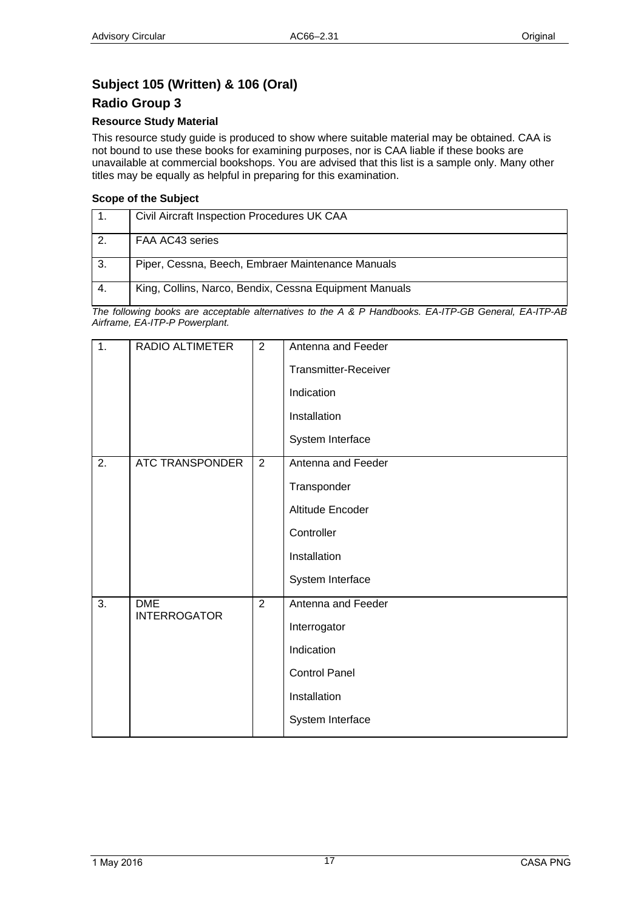# <span id="page-16-1"></span><span id="page-16-0"></span>**Subject 105 (Written) & 106 (Oral)**

### <span id="page-16-2"></span>**Radio Group 3**

#### **Resource Study Material**

This resource study guide is produced to show where suitable material may be obtained. CAA is not bound to use these books for examining purposes, nor is CAA liable if these books are unavailable at commercial bookshops. You are advised that this list is a sample only. Many other titles may be equally as helpful in preparing for this examination.

#### **Scope of the Subject**

|     | Civil Aircraft Inspection Procedures UK CAA            |
|-----|--------------------------------------------------------|
|     | FAA AC43 series                                        |
| -3. | Piper, Cessna, Beech, Embraer Maintenance Manuals      |
|     | King, Collins, Narco, Bendix, Cessna Equipment Manuals |

| 1. | RADIO ALTIMETER                   | 2 | Antenna and Feeder<br>Transmitter-Receiver<br>Indication<br>Installation<br>System Interface                 |
|----|-----------------------------------|---|--------------------------------------------------------------------------------------------------------------|
| 2. | ATC TRANSPONDER                   | 2 | Antenna and Feeder<br>Transponder<br>Altitude Encoder<br>Controller<br>Installation<br>System Interface      |
| 3. | <b>DME</b><br><b>INTERROGATOR</b> | 2 | Antenna and Feeder<br>Interrogator<br>Indication<br><b>Control Panel</b><br>Installation<br>System Interface |